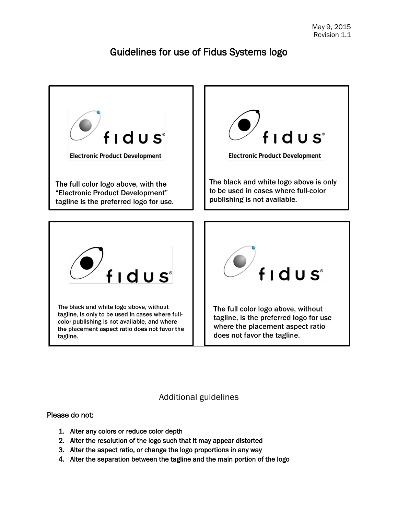# Guidelines for use of Fidus Systems logo



## Additional guidelines

Please do not:

- 1. Alter any colors or reduce color depth
- 2. Alter the resolution of the logo such that it may appear distorted
- 3. Alter the aspect ratio, or change the logo proportions in any way
- 4. Alter the separation between the tagline and the main portion of the logo